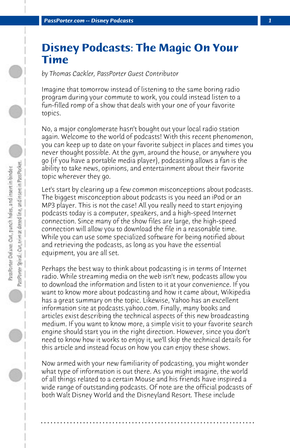## **Disney Podcasts: The Magic On Your Time**

*by Thomas Cackler, PassPorter Guest Contributor*

Imagine that tomorrow instead of listening to the same boring radio program during your commute to work, you could instead listen to a fun-filled romp of a show that deals with your one of your favorite topics.

No, a major conglomerate hasn't bought out your local radio station again. Welcome to the world of podcasts! With this recent phenomenon, you can keep up to date on your favorite subject in places and times you never thought possible. At the gym, around the house, or anywhere you go (if you have a portable media player), podcasting allows a fan is the ability to take news, opinions, and entertainment about their favorite topic wherever they go.

Let's start by clearing up a few common misconceptions about podcasts. The biggest misconception about podcasts is you need an iPod or an MP3 player. This is not the case! All you really need to start enjoying podcasts today is a computer, speakers, and a high-speed Internet connection. Since many of the show files are large, the high-speed connection will allow you to download the file in a reasonable time. While you can use some specialized software for being notified about and retrieving the podcasts, as long as you have the essential equipment, you are all set.

Perhaps the best way to think about podcasting is in terms of Internet radio. While streaming media on the web isn't new, podcasts allow you to download the information and listen to it at your convenience. If you want to know more about podcasting and how it came about, Wikipedia has a great summary on the topic. Likewise, Yahoo has an excellent information site at podcasts.yahoo.com. Finally, many books and articles exist describing the technical aspects of this new broadcasting medium. If you want to know more, a simple visit to your favorite search engine should start you in the right direction. However, since you don't need to know how it works to enjoy it, we'll skip the technical details for this article and instead focus on how you can enjoy these shows.

Now armed with your new familiarity of podcasting, you might wonder what type of information is out there. As you might imagine, the world of all things related to a certain Mouse and his friends have inspired a wide range of outstanding podcasts. Of note are the official podcasts of both Walt Disney World and the Disneyland Resort. These include

**. . . . . . . . . . . . . . . . . . . . . . . . . . . . . . . . . . . . . . . . . . . . . . . . . . . . . . . . . . . . . . . . . .**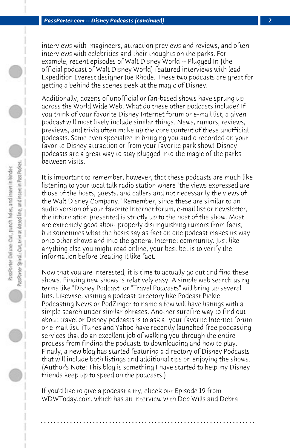interviews with Imagineers, attraction previews and reviews, and often interviews with celebrities and their thoughts on the parks. For example, recent episodes of Walt Disney World -- Plugged In (the official podcast of Walt Disney World) featured interviews with lead Expedition Everest designer Joe Rhode. These two podcasts are great for getting a behind the scenes peek at the magic of Disney.

Additionally, dozens of unofficial or fan-based shows have sprung up across the World Wide Web. What do these other podcasts include? If you think of your favorite Disney Internet forum or e-mail list, a given podcast will most likely include similar things. News, rumors, reviews, previews, and trivia often make up the core content of these unofficial podcasts. Some even specialize in bringing you audio recorded on your favorite Disney attraction or from your favorite park show! Disney podcasts are a great way to stay plugged into the magic of the parks between visits.

It is important to remember, however, that these podcasts are much like listening to your local talk radio station where "the views expressed are those of the hosts, guests, and callers and not necessarily the views of the Walt Disney Company." Remember, since these are similar to an audio version of your favorite Internet forum, e-mail list or newsletter, the information presented is strictly up to the host of the show. Most are extremely good about properly distinguishing rumors from facts, but sometimes what the hosts say as fact on one podcast makes its way onto other shows and into the general Internet community. Just like anything else you might read online, your best bet is to verify the information before treating it like fact.

Now that you are interested, it is time to actually go out and find these shows. Finding new shows is relatively easy. A simple web search using terms like "Disney Podcast" or "Travel Podcasts" will bring up several hits. Likewise, visiting a podcast directory like Podcast Pickle, Podcasting News or PodZinger to name a few will have listings with a simple search under similar phrases. Another surefire way to find out about travel or Disney podcasts is to ask at your favorite Internet forum or e-mail list. iTunes and Yahoo have recently launched free podcasting services that do an excellent job of walking you through the entire process from finding the podcasts to downloading and how to play. Finally, a new blog has started featuring a directory of Disney Podcasts that will include both listings and additional tips on enjoying the shows. (Author's Note: This blog is something I have started to help my Disney friends keep up to speed on the podcasts.)

If you'd like to give a podcast a try, check out Episode 19 from WDWToday.com. which has an interview with Deb Wills and Debra

**. . . . . . . . . . . . . . . . . . . . . . . . . . . . . . . . . . . . . . . . . . . . . . . . . . . . . . . . . . . . . . . . . .**